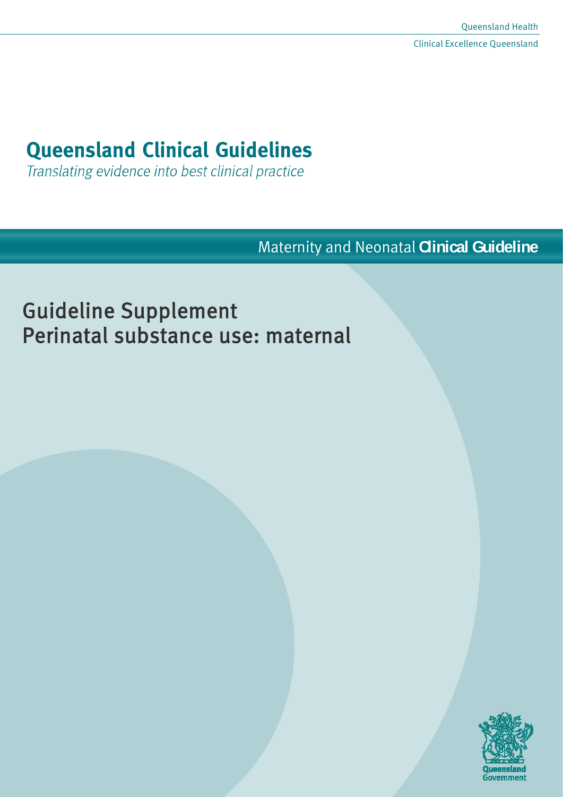# **Queensland Clinical Guidelines**

Translating evidence into best clinical practice

Maternity and Neonatal **Clinical Guideline**

# Guideline Supplement Perinatal substance use: maternal

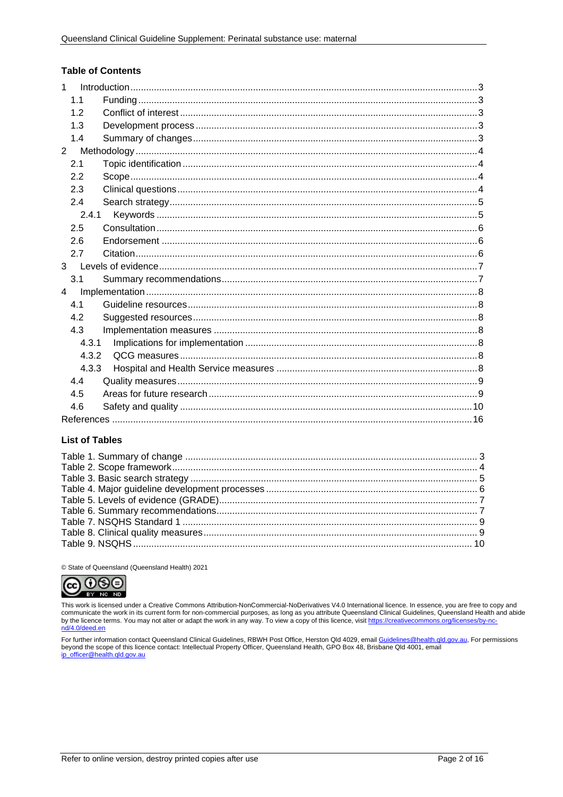#### **Table of Contents**

| $\mathbf{1}$   |       |  |
|----------------|-------|--|
| 1.1            |       |  |
| 1.2            |       |  |
| 1.3            |       |  |
| 1.4            |       |  |
| $\overline{2}$ |       |  |
| 2.1            |       |  |
| 2.2            |       |  |
| 2.3            |       |  |
| 2.4            |       |  |
|                | 2.4.1 |  |
| 2.5            |       |  |
| 2.6            |       |  |
| 2.7            |       |  |
|                |       |  |
| 3.1            |       |  |
| $\overline{4}$ |       |  |
| 4.1            |       |  |
| 4.2            |       |  |
| 4.3            |       |  |
|                | 4.3.1 |  |
|                | 4.3.2 |  |
|                | 4.3.3 |  |
| 4.4            |       |  |
| 4.5            |       |  |
| 4.6            |       |  |
|                |       |  |

#### **List of Tables**

© State of Queensland (Queensland Health) 2021



This work is licensed under a Creative Commons Attribution-NonCommercial-NoDerivatives V4.0 International licence. In essence, you are free to copy and communicate the work in its current form for non-commercial purposes, as long as you attribute Queensland Clinical Guidelines, Queensland Health and abide by the licence terms. You may not alter or adapt the work in any way. To view a copy of this licence, visit https://creativecommons.org/licenses/by-nc nd/4.0/deed.en

For further information contact Queensland Clinical Guidelines, RBWH Post Office, Herston Qld 4029, email <u>Guidelines@health.qld.gov.au,</u> For permissions<br>beyond the scope of this licence contact: Intellectual Property Offi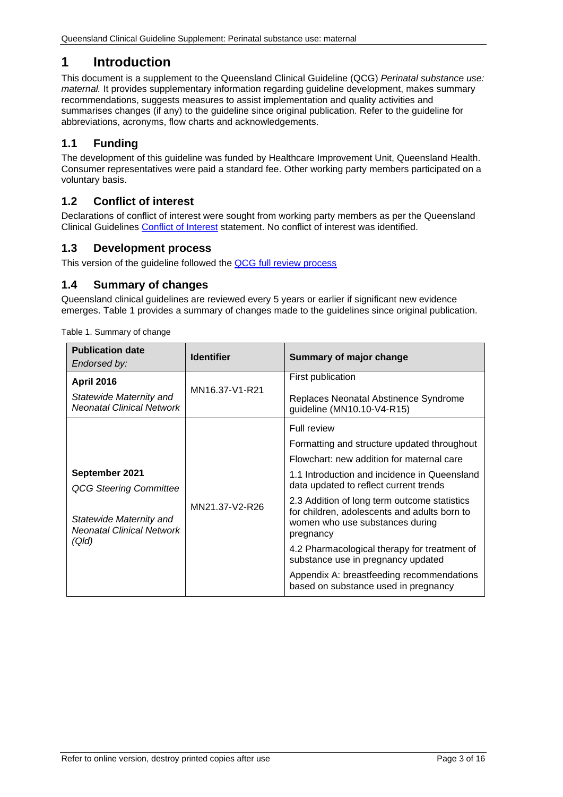# <span id="page-2-0"></span>**1 Introduction**

This document is a supplement to the Queensland Clinical Guideline (QCG) *Perinatal substance use: maternal.* It provides supplementary information regarding guideline development, makes summary recommendations, suggests measures to assist implementation and quality activities and summarises changes (if any) to the guideline since original publication. Refer to the guideline for abbreviations, acronyms, flow charts and acknowledgements.

## <span id="page-2-1"></span>**1.1 Funding**

The development of this guideline was funded by Healthcare Improvement Unit, Queensland Health. Consumer representatives were paid a standard fee. Other working party members participated on a voluntary basis.

## <span id="page-2-2"></span>**1.2 Conflict of interest**

Declarations of conflict of interest were sought from working party members as per the Queensland Clinical Guidelines [Conflict of Interest](http://www.health.qld.gov.au/qcg/development#coi) statement. No conflict of interest was identified.

## <span id="page-2-3"></span>**1.3 Development process**

This version of the guideline followed the QCG [full review](https://www.health.qld.gov.au/__data/assets/pdf_file/0025/364723/o-developprocess.pdf) process

## <span id="page-2-4"></span>**1.4 Summary of changes**

Queensland clinical guidelines are reviewed every 5 years or earlier if significant new evidence emerges. [Table 1](#page-2-5) provides a summary of changes made to the guidelines since original publication.

| <b>Publication date</b><br>Endorsed by:                     | <b>Identifier</b> | Summary of major change                                                                                                                      |
|-------------------------------------------------------------|-------------------|----------------------------------------------------------------------------------------------------------------------------------------------|
| <b>April 2016</b>                                           |                   | First publication                                                                                                                            |
| Statewide Maternity and<br><b>Neonatal Clinical Network</b> | MN16.37-V1-R21    | Replaces Neonatal Abstinence Syndrome<br>quideline (MN10.10-V4-R15)                                                                          |
|                                                             |                   | <b>Full review</b>                                                                                                                           |
|                                                             |                   | Formatting and structure updated throughout                                                                                                  |
|                                                             |                   | Flowchart: new addition for maternal care                                                                                                    |
| September 2021<br><b>QCG Steering Committee</b>             |                   | 1.1 Introduction and incidence in Queensland<br>data updated to reflect current trends                                                       |
| Statewide Maternity and<br><b>Neonatal Clinical Network</b> | MN21.37-V2-R26    | 2.3 Addition of long term outcome statistics<br>for children, adolescents and adults born to<br>women who use substances during<br>pregnancy |
| (Qld)                                                       |                   | 4.2 Pharmacological therapy for treatment of<br>substance use in pregnancy updated                                                           |
|                                                             |                   | Appendix A: breastfeeding recommendations<br>based on substance used in pregnancy                                                            |

<span id="page-2-5"></span>Table 1. Summary of change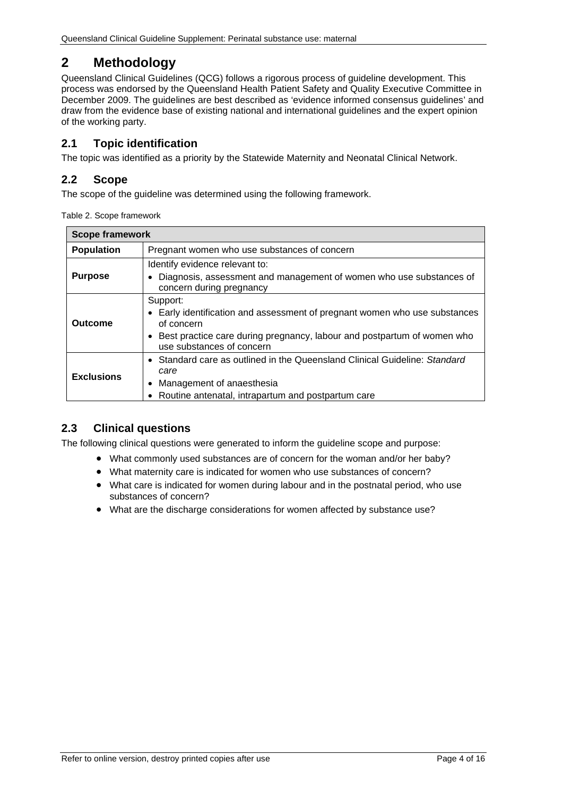# <span id="page-3-0"></span>**2 Methodology**

Queensland Clinical Guidelines (QCG) follows a rigorous process of guideline development. This process was endorsed by the Queensland Health Patient Safety and Quality Executive Committee in December 2009. The guidelines are best described as 'evidence informed consensus guidelines' and draw from the evidence base of existing national and international guidelines and the expert opinion of the working party.

## <span id="page-3-1"></span>**2.1 Topic identification**

The topic was identified as a priority by the Statewide Maternity and Neonatal Clinical Network.

## <span id="page-3-2"></span>**2.2 Scope**

<span id="page-3-4"></span>The scope of the quideline was determined using the following framework.

| Table 2. Scope framework |  |
|--------------------------|--|
|--------------------------|--|

| <b>Scope framework</b>                                                                                                                              |                                                                                                                                                                                                            |  |
|-----------------------------------------------------------------------------------------------------------------------------------------------------|------------------------------------------------------------------------------------------------------------------------------------------------------------------------------------------------------------|--|
| <b>Population</b>                                                                                                                                   | Pregnant women who use substances of concern                                                                                                                                                               |  |
| Identify evidence relevant to:<br><b>Purpose</b><br>Diagnosis, assessment and management of women who use substances of<br>concern during pregnancy |                                                                                                                                                                                                            |  |
| Outcome                                                                                                                                             | Support:<br>Early identification and assessment of pregnant women who use substances<br>of concern<br>Best practice care during pregnancy, labour and postpartum of women who<br>use substances of concern |  |
| <b>Exclusions</b>                                                                                                                                   | • Standard care as outlined in the Queensland Clinical Guideline: Standard<br>care<br>Management of anaesthesia<br>Routine antenatal, intrapartum and postpartum care                                      |  |

## <span id="page-3-3"></span>**2.3 Clinical questions**

The following clinical questions were generated to inform the guideline scope and purpose:

- What commonly used substances are of concern for the woman and/or her baby?
- What maternity care is indicated for women who use substances of concern?
- What care is indicated for women during labour and in the postnatal period, who use substances of concern?
- What are the discharge considerations for women affected by substance use?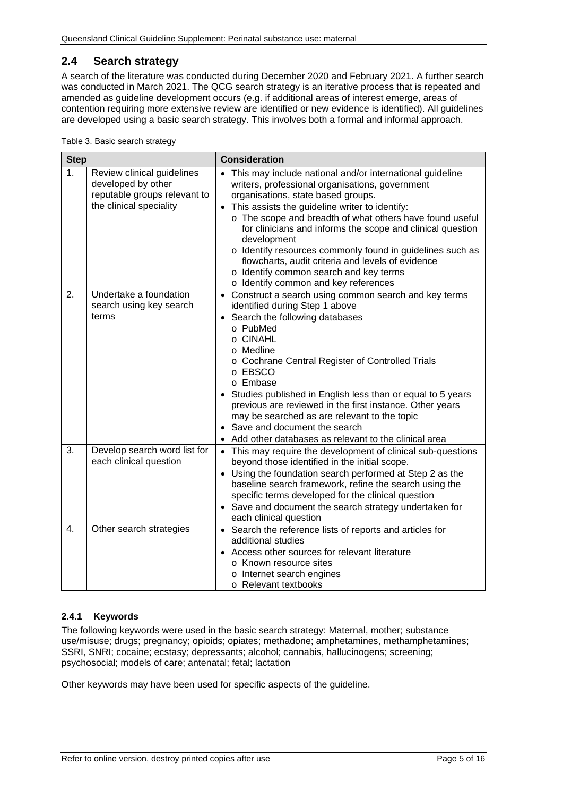## <span id="page-4-0"></span>**2.4 Search strategy**

A search of the literature was conducted during December 2020 and February 2021. A further search was conducted in March 2021. The QCG search strategy is an iterative process that is repeated and amended as guideline development occurs (e.g. if additional areas of interest emerge, areas of contention requiring more extensive review are identified or new evidence is identified). All guidelines are developed using a basic search strategy. This involves both a formal and informal approach.

<span id="page-4-2"></span>

|  | Table 3. Basic search strategy |  |  |  |
|--|--------------------------------|--|--|--|
|--|--------------------------------|--|--|--|

| <b>Step</b> |                                                                                                             | <b>Consideration</b>                                                                                                                                                                                                                                                                                                                                                                                                                                                                                                                                                       |
|-------------|-------------------------------------------------------------------------------------------------------------|----------------------------------------------------------------------------------------------------------------------------------------------------------------------------------------------------------------------------------------------------------------------------------------------------------------------------------------------------------------------------------------------------------------------------------------------------------------------------------------------------------------------------------------------------------------------------|
| 1.          | Review clinical guidelines<br>developed by other<br>reputable groups relevant to<br>the clinical speciality | This may include national and/or international guideline<br>$\bullet$<br>writers, professional organisations, government<br>organisations, state based groups.<br>This assists the guideline writer to identify:<br>$\bullet$<br>o The scope and breadth of what others have found useful<br>for clinicians and informs the scope and clinical question<br>development<br>o Identify resources commonly found in guidelines such as<br>flowcharts, audit criteria and levels of evidence<br>o Identify common search and key terms<br>o Identify common and key references |
| 2.          | Undertake a foundation<br>search using key search<br>terms                                                  | • Construct a search using common search and key terms<br>identified during Step 1 above<br>Search the following databases<br>$\bullet$<br>o PubMed<br>o CINAHL<br>o Medline<br>o Cochrane Central Register of Controlled Trials<br>o EBSCO<br>o Embase<br>Studies published in English less than or equal to 5 years<br>previous are reviewed in the first instance. Other years<br>may be searched as are relevant to the topic<br>• Save and document the search<br>Add other databases as relevant to the clinical area                                                |
| 3.          | Develop search word list for<br>each clinical question                                                      | • This may require the development of clinical sub-questions<br>beyond those identified in the initial scope.<br>• Using the foundation search performed at Step 2 as the<br>baseline search framework, refine the search using the<br>specific terms developed for the clinical question<br>• Save and document the search strategy undertaken for<br>each clinical question                                                                                                                                                                                              |
| 4.          | Other search strategies                                                                                     | • Search the reference lists of reports and articles for<br>additional studies<br>Access other sources for relevant literature<br>o Known resource sites<br>o Internet search engines<br>o Relevant textbooks                                                                                                                                                                                                                                                                                                                                                              |

#### <span id="page-4-1"></span>**2.4.1 Keywords**

The following keywords were used in the basic search strategy: Maternal, mother; substance use/misuse; drugs; pregnancy; opioids; opiates; methadone; amphetamines, methamphetamines; SSRI, SNRI; cocaine; ecstasy; depressants; alcohol; cannabis, hallucinogens; screening; psychosocial; models of care; antenatal; fetal; lactation

Other keywords may have been used for specific aspects of the guideline.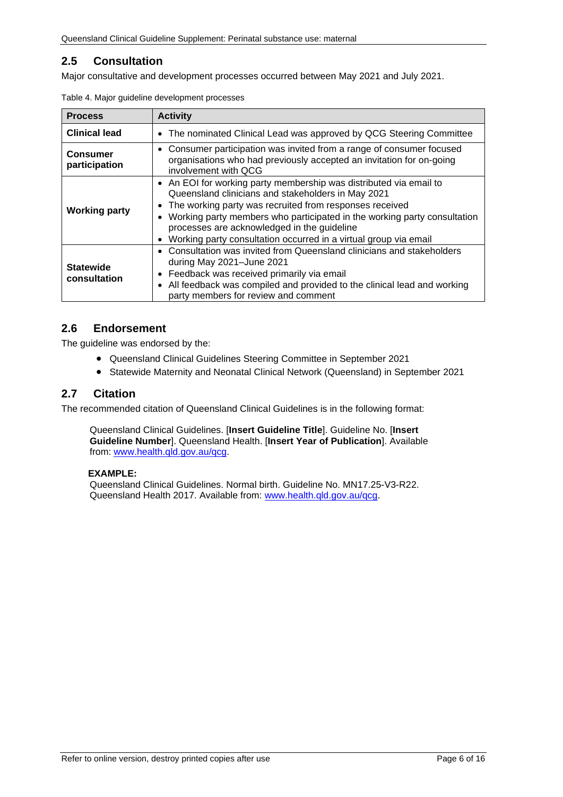## <span id="page-5-0"></span>**2.5 Consultation**

<span id="page-5-3"></span>Major consultative and development processes occurred between May 2021 and July 2021.

| <b>Process</b>                                                                                                                                                                                            | <b>Activity</b>                                                                                                                                                                                                                                                                                                                                                                                              |  |  |
|-----------------------------------------------------------------------------------------------------------------------------------------------------------------------------------------------------------|--------------------------------------------------------------------------------------------------------------------------------------------------------------------------------------------------------------------------------------------------------------------------------------------------------------------------------------------------------------------------------------------------------------|--|--|
| <b>Clinical lead</b>                                                                                                                                                                                      | • The nominated Clinical Lead was approved by QCG Steering Committee                                                                                                                                                                                                                                                                                                                                         |  |  |
| • Consumer participation was invited from a range of consumer focused<br><b>Consumer</b><br>organisations who had previously accepted an invitation for on-going<br>participation<br>involvement with QCG |                                                                                                                                                                                                                                                                                                                                                                                                              |  |  |
| <b>Working party</b>                                                                                                                                                                                      | • An EOI for working party membership was distributed via email to<br>Queensland clinicians and stakeholders in May 2021<br>The working party was recruited from responses received<br>Working party members who participated in the working party consultation<br>$\bullet$<br>processes are acknowledged in the guideline<br>Working party consultation occurred in a virtual group via email<br>$\bullet$ |  |  |
| <b>Statewide</b><br>consultation                                                                                                                                                                          | • Consultation was invited from Queensland clinicians and stakeholders<br>during May 2021-June 2021<br>Feedback was received primarily via email<br>$\bullet$<br>All feedback was compiled and provided to the clinical lead and working<br>$\bullet$<br>party members for review and comment                                                                                                                |  |  |

|  | Table 4. Major guideline development processes |  |
|--|------------------------------------------------|--|
|  |                                                |  |

## <span id="page-5-1"></span>**2.6 Endorsement**

The guideline was endorsed by the:

- Queensland Clinical Guidelines Steering Committee in September 2021
- Statewide Maternity and Neonatal Clinical Network (Queensland) in September 2021

### <span id="page-5-2"></span>**2.7 Citation**

The recommended citation of Queensland Clinical Guidelines is in the following format:

Queensland Clinical Guidelines. [**Insert Guideline Title**]. Guideline No. [**Insert Guideline Number**]. Queensland Health. [**Insert Year of Publication**]. Available from: [www.health.qld.gov.au/qcg.](http://www.health.qld.gov.au/qcg)

#### **EXAMPLE:**

Queensland Clinical Guidelines. Normal birth. Guideline No. MN17.25-V3-R22. Queensland Health 2017. Available from: [www.health.qld.gov.au/qcg.](http://www.health.qld.gov.au/qcg)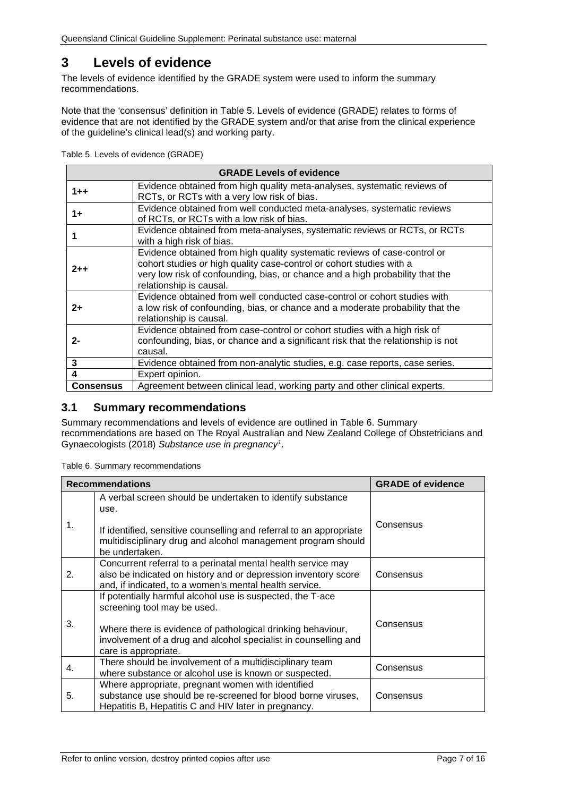# <span id="page-6-0"></span>**3 Levels of evidence**

The levels of evidence identified by the GRADE system were used to inform the summary recommendations.

Note that the 'consensus' definition in [Table 5. Levels of evidence \(GRADE\)](#page-6-2) relates to forms of evidence that are not identified by the GRADE system and/or that arise from the clinical experience of the guideline's clinical lead(s) and working party.

<span id="page-6-2"></span>Table 5. Levels of evidence (GRADE)

|                  | <b>GRADE Levels of evidence</b>                                                                                                                                                                                                                               |
|------------------|---------------------------------------------------------------------------------------------------------------------------------------------------------------------------------------------------------------------------------------------------------------|
| $1 + +$          | Evidence obtained from high quality meta-analyses, systematic reviews of<br>RCTs, or RCTs with a very low risk of bias.                                                                                                                                       |
| $1+$             | Evidence obtained from well conducted meta-analyses, systematic reviews<br>of RCTs, or RCTs with a low risk of bias.                                                                                                                                          |
|                  | Evidence obtained from meta-analyses, systematic reviews or RCTs, or RCTs<br>with a high risk of bias.                                                                                                                                                        |
| $2 + +$          | Evidence obtained from high quality systematic reviews of case-control or<br>cohort studies or high quality case-control or cohort studies with a<br>very low risk of confounding, bias, or chance and a high probability that the<br>relationship is causal. |
| $2+$             | Evidence obtained from well conducted case-control or cohort studies with<br>a low risk of confounding, bias, or chance and a moderate probability that the<br>relationship is causal.                                                                        |
| 2-               | Evidence obtained from case-control or cohort studies with a high risk of<br>confounding, bias, or chance and a significant risk that the relationship is not<br>causal.                                                                                      |
| 3                | Evidence obtained from non-analytic studies, e.g. case reports, case series.                                                                                                                                                                                  |
| 4                | Expert opinion.                                                                                                                                                                                                                                               |
| <b>Consensus</b> | Agreement between clinical lead, working party and other clinical experts.                                                                                                                                                                                    |

### <span id="page-6-1"></span>**3.1 Summary recommendations**

Summary recommendations and levels of evidence are outlined in Table 6. [Summary](#page-6-3)  [recommendations](#page-6-3) are based on The Royal Australian and New Zealand College of Obstetricians and Gynaecologists (2018) *Substance use in pregnancy1*.

<span id="page-6-3"></span>Table 6. Summary recommendations

| <b>Recommendations</b> | <b>GRADE of evidence</b>                                                                                                                                                                 |           |
|------------------------|------------------------------------------------------------------------------------------------------------------------------------------------------------------------------------------|-----------|
|                        | A verbal screen should be undertaken to identify substance<br>use.                                                                                                                       |           |
| 1.                     | If identified, sensitive counselling and referral to an appropriate<br>multidisciplinary drug and alcohol management program should<br>be undertaken.                                    | Consensus |
| 2.                     | Concurrent referral to a perinatal mental health service may<br>also be indicated on history and or depression inventory score<br>and, if indicated, to a women's mental health service. | Consensus |
|                        | If potentially harmful alcohol use is suspected, the T-ace<br>screening tool may be used.                                                                                                |           |
| 3.                     | Where there is evidence of pathological drinking behaviour,<br>involvement of a drug and alcohol specialist in counselling and<br>care is appropriate.                                   | Consensus |
| 4.                     | There should be involvement of a multidisciplinary team<br>where substance or alcohol use is known or suspected.                                                                         | Consensus |
| 5.                     | Where appropriate, pregnant women with identified<br>substance use should be re-screened for blood borne viruses,<br>Hepatitis B, Hepatitis C and HIV later in pregnancy.                | Consensus |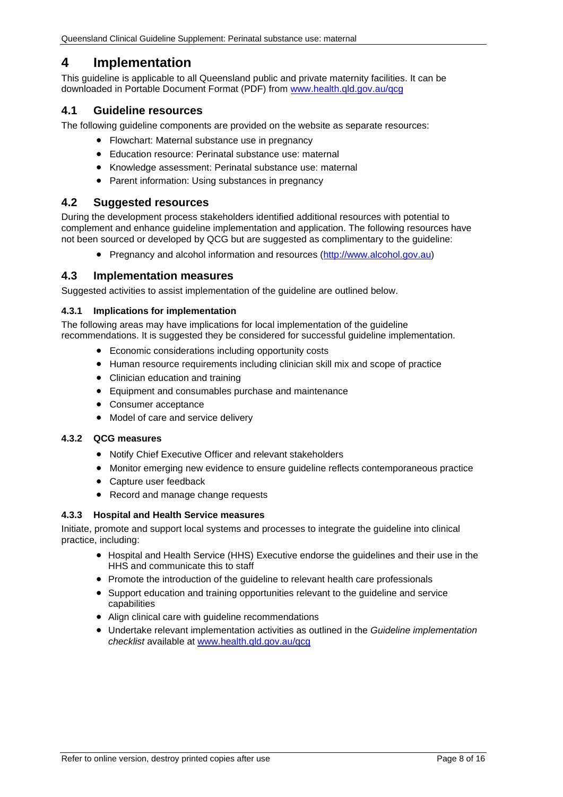# <span id="page-7-0"></span>**4 Implementation**

This guideline is applicable to all Queensland public and private maternity facilities. It can be downloaded in Portable Document Format (PDF) from [www.health.qld.gov.au/qcg](http://www.health.qld.gov.au/qcg)

## <span id="page-7-1"></span>**4.1 Guideline resources**

The following guideline components are provided on the website as separate resources:

- Flowchart: Maternal substance use in pregnancy
- Education resource: Perinatal substance use: maternal
- Knowledge assessment: Perinatal substance use: maternal
- Parent information: Using substances in pregnancy

#### <span id="page-7-2"></span>**4.2 Suggested resources**

During the development process stakeholders identified additional resources with potential to complement and enhance guideline implementation and application. The following resources have not been sourced or developed by QCG but are suggested as complimentary to the guideline:

• Pregnancy and alcohol information and resources [\(http://www.alcohol.gov.au\)](http://www.alcohol.gov.au/)

#### <span id="page-7-3"></span>**4.3 Implementation measures**

Suggested activities to assist implementation of the guideline are outlined below.

#### <span id="page-7-4"></span>**4.3.1 Implications for implementation**

The following areas may have implications for local implementation of the guideline recommendations. It is suggested they be considered for successful guideline implementation.

- Economic considerations including opportunity costs
- Human resource requirements including clinician skill mix and scope of practice
- Clinician education and training
- Equipment and consumables purchase and maintenance
- Consumer acceptance
- Model of care and service delivery

#### <span id="page-7-5"></span>**4.3.2 QCG measures**

- Notify Chief Executive Officer and relevant stakeholders
- Monitor emerging new evidence to ensure guideline reflects contemporaneous practice
- Capture user feedback
- Record and manage change requests

#### <span id="page-7-6"></span>**4.3.3 Hospital and Health Service measures**

Initiate, promote and support local systems and processes to integrate the guideline into clinical practice, including:

- Hospital and Health Service (HHS) Executive endorse the guidelines and their use in the HHS and communicate this to staff
- Promote the introduction of the guideline to relevant health care professionals
- Support education and training opportunities relevant to the guideline and service capabilities
- Align clinical care with guideline recommendations
- Undertake relevant implementation activities as outlined in the *Guideline implementation checklist* available at [www.health.qld.gov.au/qcg](http://www.health.qld.gov.au/qcg)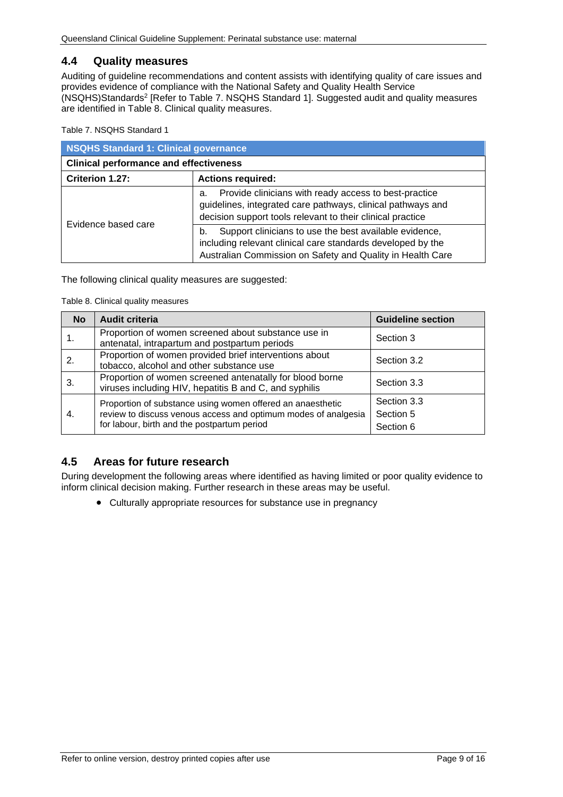## <span id="page-8-0"></span>**4.4 Quality measures**

Auditing of guideline recommendations and content assists with identifying quality of care issues and provides evidence of compliance with the National Safety and Quality Health Service (NSQHS)Standards2 [Refer to Table 7. [NSQHS Standard 1\]](#page-8-2). Suggested audit and quality measures are identified in [Table 8. Clinical quality measures.](#page-8-3)

<span id="page-8-2"></span>Table 7. NSQHS Standard 1

| NSQHS Standard 1: Clinical governance         |                                                                                                                                                                                           |  |  |
|-----------------------------------------------|-------------------------------------------------------------------------------------------------------------------------------------------------------------------------------------------|--|--|
| <b>Clinical performance and effectiveness</b> |                                                                                                                                                                                           |  |  |
| Criterion 1.27:                               | <b>Actions required:</b>                                                                                                                                                                  |  |  |
| Evidence based care                           | Provide clinicians with ready access to best-practice<br>a.<br>guidelines, integrated care pathways, clinical pathways and<br>decision support tools relevant to their clinical practice  |  |  |
|                                               | Support clinicians to use the best available evidence,<br>b.<br>including relevant clinical care standards developed by the<br>Australian Commission on Safety and Quality in Health Care |  |  |

<span id="page-8-3"></span>The following clinical quality measures are suggested:

Table 8. Clinical quality measures

| <b>No</b> | <b>Audit criteria</b>                                                                                                                                                       | <b>Guideline section</b>              |
|-----------|-----------------------------------------------------------------------------------------------------------------------------------------------------------------------------|---------------------------------------|
|           | Proportion of women screened about substance use in<br>antenatal, intrapartum and postpartum periods                                                                        | Section 3                             |
| 2.        | Proportion of women provided brief interventions about<br>tobacco, alcohol and other substance use                                                                          | Section 3.2                           |
| 3.        | Proportion of women screened antenatally for blood borne<br>viruses including HIV, hepatitis B and C, and syphilis                                                          | Section 3.3                           |
| 4.        | Proportion of substance using women offered an anaesthetic<br>review to discuss venous access and optimum modes of analgesia<br>for labour, birth and the postpartum period | Section 3.3<br>Section 5<br>Section 6 |

## <span id="page-8-1"></span>**4.5 Areas for future research**

During development the following areas where identified as having limited or poor quality evidence to inform clinical decision making. Further research in these areas may be useful.

• Culturally appropriate resources for substance use in pregnancy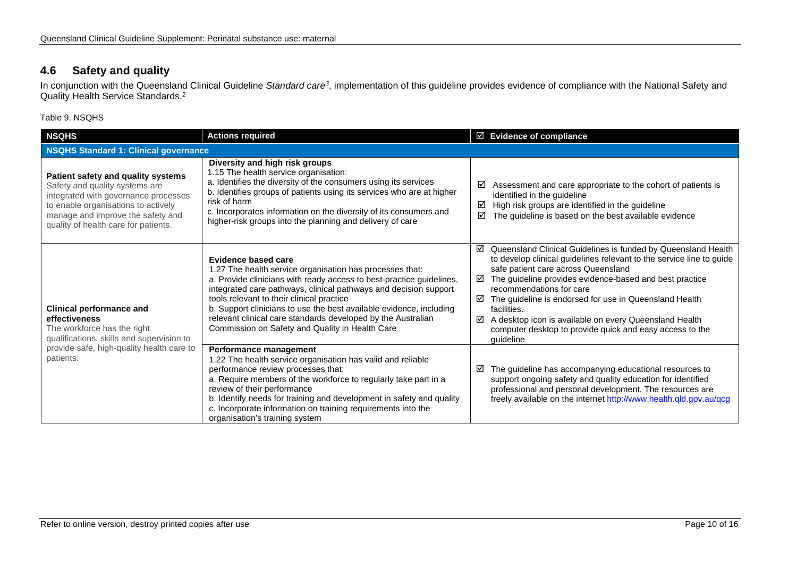## **4.6 Safety and quality**

In conjunction with the Queensland Clinical Guideline *Standard care3*, implementation of this guideline provides evidence of compliance with the National Safety and Quality Health Service Standards.2

Table 9. NSQHS

<span id="page-9-1"></span><span id="page-9-0"></span>

| <b>NSQHS</b>                                                                                                                                                                                                                     | <b>Actions required</b>                                                                                                                                                                                                                                                                                                                                                                                                                                            | $\boxtimes$ Evidence of compliance                                                                                                                                                                                                                                                                                                                                                                                                                                                                  |  |  |
|----------------------------------------------------------------------------------------------------------------------------------------------------------------------------------------------------------------------------------|--------------------------------------------------------------------------------------------------------------------------------------------------------------------------------------------------------------------------------------------------------------------------------------------------------------------------------------------------------------------------------------------------------------------------------------------------------------------|-----------------------------------------------------------------------------------------------------------------------------------------------------------------------------------------------------------------------------------------------------------------------------------------------------------------------------------------------------------------------------------------------------------------------------------------------------------------------------------------------------|--|--|
|                                                                                                                                                                                                                                  | <b>NSQHS Standard 1: Clinical governance</b>                                                                                                                                                                                                                                                                                                                                                                                                                       |                                                                                                                                                                                                                                                                                                                                                                                                                                                                                                     |  |  |
| Patient safety and quality systems<br>Safety and quality systems are<br>integrated with governance processes<br>to enable organisations to actively<br>manage and improve the safety and<br>quality of health care for patients. | Diversity and high risk groups<br>1.15 The health service organisation:<br>a. Identifies the diversity of the consumers using its services<br>b. Identifies groups of patients using its services who are at higher<br>risk of harm<br>c. Incorporates information on the diversity of its consumers and<br>higher-risk groups into the planning and delivery of care                                                                                              | Assessment and care appropriate to the cohort of patients is<br>☑<br>identified in the guideline<br>High risk groups are identified in the guideline<br>☑<br>The guideline is based on the best available evidence<br>☑                                                                                                                                                                                                                                                                             |  |  |
| <b>Clinical performance and</b><br>effectiveness<br>The workforce has the right<br>qualifications, skills and supervision to                                                                                                     | Evidence based care<br>1.27 The health service organisation has processes that:<br>a. Provide clinicians with ready access to best-practice guidelines,<br>integrated care pathways, clinical pathways and decision support<br>tools relevant to their clinical practice<br>b. Support clinicians to use the best available evidence, including<br>relevant clinical care standards developed by the Australian<br>Commission on Safety and Quality in Health Care | ☑<br>Queensland Clinical Guidelines is funded by Queensland Health<br>to develop clinical guidelines relevant to the service line to guide<br>safe patient care across Queensland<br>The guideline provides evidence-based and best practice<br>⊠<br>recommendations for care<br>☑<br>The guideline is endorsed for use in Queensland Health<br>facilities.<br>A desktop icon is available on every Queensland Health<br>⊠<br>computer desktop to provide quick and easy access to the<br>guideline |  |  |
| provide safe, high-quality health care to<br>patients.                                                                                                                                                                           | Performance management<br>1.22 The health service organisation has valid and reliable<br>performance review processes that:<br>a. Require members of the workforce to regularly take part in a<br>review of their performance<br>b. Identify needs for training and development in safety and quality<br>c. Incorporate information on training requirements into the<br>organisation's training system                                                            | The guideline has accompanying educational resources to<br>☑<br>support ongoing safety and quality education for identified<br>professional and personal development. The resources are<br>freely available on the internet http://www.health.qld.gov.au/qcg                                                                                                                                                                                                                                        |  |  |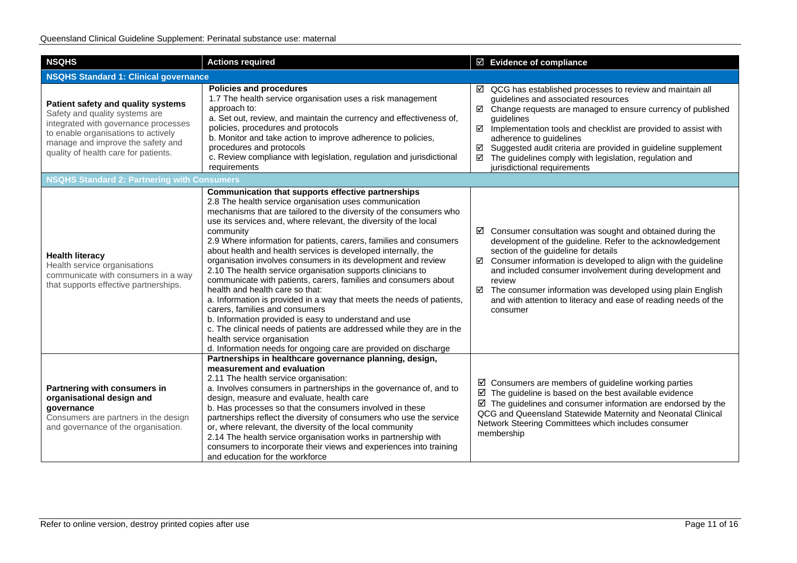| <b>NSQHS</b>                                                                                                                                                                                                                     | <b>Actions required</b>                                                                                                                                                                                                                                                                                                                                                                                                                                                                                                                                                                                                                                                                                                                                                                                                                                                                                                                                                                         | ☑ Evidence of compliance                                                                                                                                                                                                                                                                                                                                                                                                                                       |  |
|----------------------------------------------------------------------------------------------------------------------------------------------------------------------------------------------------------------------------------|-------------------------------------------------------------------------------------------------------------------------------------------------------------------------------------------------------------------------------------------------------------------------------------------------------------------------------------------------------------------------------------------------------------------------------------------------------------------------------------------------------------------------------------------------------------------------------------------------------------------------------------------------------------------------------------------------------------------------------------------------------------------------------------------------------------------------------------------------------------------------------------------------------------------------------------------------------------------------------------------------|----------------------------------------------------------------------------------------------------------------------------------------------------------------------------------------------------------------------------------------------------------------------------------------------------------------------------------------------------------------------------------------------------------------------------------------------------------------|--|
| <b>NSQHS Standard 1: Clinical governance</b>                                                                                                                                                                                     |                                                                                                                                                                                                                                                                                                                                                                                                                                                                                                                                                                                                                                                                                                                                                                                                                                                                                                                                                                                                 |                                                                                                                                                                                                                                                                                                                                                                                                                                                                |  |
| Patient safety and quality systems<br>Safety and quality systems are<br>integrated with governance processes<br>to enable organisations to actively<br>manage and improve the safety and<br>quality of health care for patients. | <b>Policies and procedures</b><br>1.7 The health service organisation uses a risk management<br>approach to:<br>a. Set out, review, and maintain the currency and effectiveness of,<br>policies, procedures and protocols<br>b. Monitor and take action to improve adherence to policies,<br>procedures and protocols<br>c. Review compliance with legislation, regulation and jurisdictional<br>requirements                                                                                                                                                                                                                                                                                                                                                                                                                                                                                                                                                                                   | QCG has established processes to review and maintain all<br>☑<br>guidelines and associated resources<br>☑ Change requests are managed to ensure currency of published<br>guidelines<br>☑<br>Implementation tools and checklist are provided to assist with<br>adherence to guidelines<br>Suggested audit criteria are provided in guideline supplement<br>☑<br>The guidelines comply with legislation, regulation and<br>☑<br>jurisdictional requirements      |  |
| <b>NSQHS Standard 2: Partnering with Consumers</b>                                                                                                                                                                               |                                                                                                                                                                                                                                                                                                                                                                                                                                                                                                                                                                                                                                                                                                                                                                                                                                                                                                                                                                                                 |                                                                                                                                                                                                                                                                                                                                                                                                                                                                |  |
| <b>Health literacy</b><br>Health service organisations<br>communicate with consumers in a way<br>that supports effective partnerships.                                                                                           | Communication that supports effective partnerships<br>2.8 The health service organisation uses communication<br>mechanisms that are tailored to the diversity of the consumers who<br>use its services and, where relevant, the diversity of the local<br>community<br>2.9 Where information for patients, carers, families and consumers<br>about health and health services is developed internally, the<br>organisation involves consumers in its development and review<br>2.10 The health service organisation supports clinicians to<br>communicate with patients, carers, families and consumers about<br>health and health care so that:<br>a. Information is provided in a way that meets the needs of patients,<br>carers, families and consumers<br>b. Information provided is easy to understand and use<br>c. The clinical needs of patients are addressed while they are in the<br>health service organisation<br>d. Information needs for ongoing care are provided on discharge | Consumer consultation was sought and obtained during the<br>☑<br>development of the guideline. Refer to the acknowledgement<br>section of the guideline for details<br>Consumer information is developed to align with the guideline<br>☑<br>and included consumer involvement during development and<br>review<br>☑ The consumer information was developed using plain English<br>and with attention to literacy and ease of reading needs of the<br>consumer |  |
| Partnering with consumers in<br>organisational design and<br>governance<br>Consumers are partners in the design<br>and governance of the organisation.                                                                           | Partnerships in healthcare governance planning, design,<br>measurement and evaluation<br>2.11 The health service organisation:<br>a. Involves consumers in partnerships in the governance of, and to<br>design, measure and evaluate, health care<br>b. Has processes so that the consumers involved in these<br>partnerships reflect the diversity of consumers who use the service<br>or, where relevant, the diversity of the local community<br>2.14 The health service organisation works in partnership with<br>consumers to incorporate their views and experiences into training<br>and education for the workforce                                                                                                                                                                                                                                                                                                                                                                     | $\boxtimes$ Consumers are members of guideline working parties<br>$\boxtimes$ The guideline is based on the best available evidence<br>$\boxtimes$ The guidelines and consumer information are endorsed by the<br>QCG and Queensland Statewide Maternity and Neonatal Clinical<br>Network Steering Committees which includes consumer<br>membership                                                                                                            |  |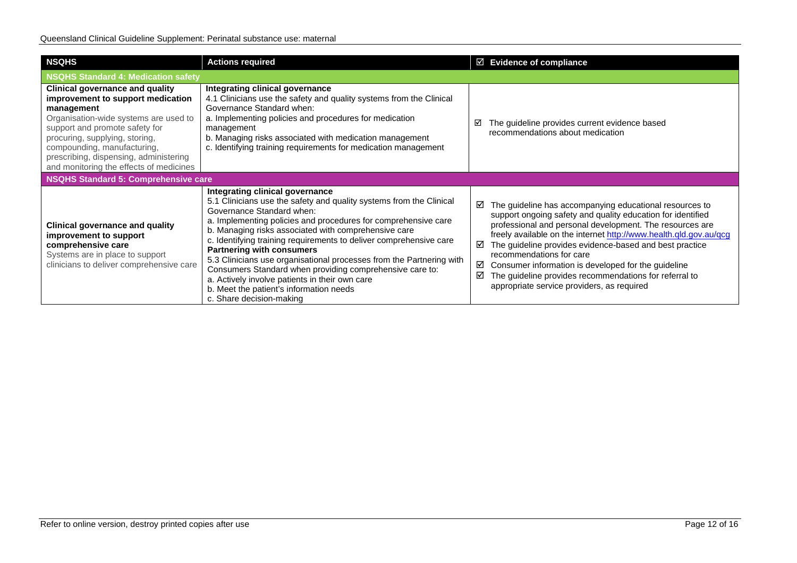| <b>NSQHS</b>                                                                                                                                                                                                                                                                                                               | <b>Actions required</b>                                                                                                                                                                                                                                                                                                                                                                                                                                                                                                                                                                                                              | $\boxtimes$ Evidence of compliance                                                                                                                                                                                                                                                                                                                                                                                                                                                                                                       |
|----------------------------------------------------------------------------------------------------------------------------------------------------------------------------------------------------------------------------------------------------------------------------------------------------------------------------|--------------------------------------------------------------------------------------------------------------------------------------------------------------------------------------------------------------------------------------------------------------------------------------------------------------------------------------------------------------------------------------------------------------------------------------------------------------------------------------------------------------------------------------------------------------------------------------------------------------------------------------|------------------------------------------------------------------------------------------------------------------------------------------------------------------------------------------------------------------------------------------------------------------------------------------------------------------------------------------------------------------------------------------------------------------------------------------------------------------------------------------------------------------------------------------|
| NSQHS Standard 4: Medication safety                                                                                                                                                                                                                                                                                        |                                                                                                                                                                                                                                                                                                                                                                                                                                                                                                                                                                                                                                      |                                                                                                                                                                                                                                                                                                                                                                                                                                                                                                                                          |
| <b>Clinical governance and quality</b><br>improvement to support medication<br>management<br>Organisation-wide systems are used to<br>support and promote safety for<br>procuring, supplying, storing,<br>compounding, manufacturing,<br>prescribing, dispensing, administering<br>and monitoring the effects of medicines | Integrating clinical governance<br>4.1 Clinicians use the safety and quality systems from the Clinical<br>Governance Standard when:<br>a. Implementing policies and procedures for medication<br>management<br>b. Managing risks associated with medication management<br>c. Identifying training requirements for medication management                                                                                                                                                                                                                                                                                             | The guideline provides current evidence based<br>⊽<br>recommendations about medication                                                                                                                                                                                                                                                                                                                                                                                                                                                   |
| NSQHS Standard 5: Comprehensive care                                                                                                                                                                                                                                                                                       |                                                                                                                                                                                                                                                                                                                                                                                                                                                                                                                                                                                                                                      |                                                                                                                                                                                                                                                                                                                                                                                                                                                                                                                                          |
| <b>Clinical governance and quality</b><br>improvement to support<br>comprehensive care<br>Systems are in place to support<br>clinicians to deliver comprehensive care                                                                                                                                                      | Integrating clinical governance<br>5.1 Clinicians use the safety and quality systems from the Clinical<br>Governance Standard when:<br>a. Implementing policies and procedures for comprehensive care<br>b. Managing risks associated with comprehensive care<br>c. Identifying training requirements to deliver comprehensive care<br><b>Partnering with consumers</b><br>5.3 Clinicians use organisational processes from the Partnering with<br>Consumers Standard when providing comprehensive care to:<br>a. Actively involve patients in their own care<br>b. Meet the patient's information needs<br>c. Share decision-making | $\boxtimes$ The guideline has accompanying educational resources to<br>support ongoing safety and quality education for identified<br>professional and personal development. The resources are<br>freely available on the internet http://www.health.qld.gov.au/qcg<br>The guideline provides evidence-based and best practice<br>☑<br>recommendations for care<br>Consumer information is developed for the guideline<br>☑<br>The guideline provides recommendations for referral to<br>☑<br>appropriate service providers, as required |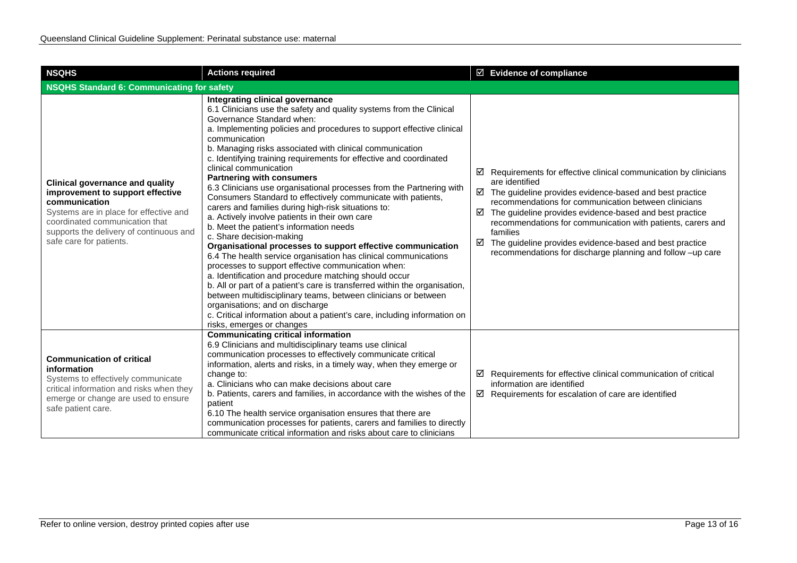| <b>NSQHS</b>                                                                                                                                                                                                                                  | <b>Actions required</b>                                                                                                                                                                                                                                                                                                                                                                                                                                                                                                                                                                                                                                                                                                                                                                                                                                                                                                                                                                                                                                                                                                                                                                                                                                                                            | $\boxtimes$ Evidence of compliance                                                                                                                                                                                                                                                                                                                                                                                                                                                                                  |
|-----------------------------------------------------------------------------------------------------------------------------------------------------------------------------------------------------------------------------------------------|----------------------------------------------------------------------------------------------------------------------------------------------------------------------------------------------------------------------------------------------------------------------------------------------------------------------------------------------------------------------------------------------------------------------------------------------------------------------------------------------------------------------------------------------------------------------------------------------------------------------------------------------------------------------------------------------------------------------------------------------------------------------------------------------------------------------------------------------------------------------------------------------------------------------------------------------------------------------------------------------------------------------------------------------------------------------------------------------------------------------------------------------------------------------------------------------------------------------------------------------------------------------------------------------------|---------------------------------------------------------------------------------------------------------------------------------------------------------------------------------------------------------------------------------------------------------------------------------------------------------------------------------------------------------------------------------------------------------------------------------------------------------------------------------------------------------------------|
| NSQHS Standard 6: Communicating for safety                                                                                                                                                                                                    |                                                                                                                                                                                                                                                                                                                                                                                                                                                                                                                                                                                                                                                                                                                                                                                                                                                                                                                                                                                                                                                                                                                                                                                                                                                                                                    |                                                                                                                                                                                                                                                                                                                                                                                                                                                                                                                     |
| <b>Clinical governance and quality</b><br>improvement to support effective<br>communication<br>Systems are in place for effective and<br>coordinated communication that<br>supports the delivery of continuous and<br>safe care for patients. | Integrating clinical governance<br>6.1 Clinicians use the safety and quality systems from the Clinical<br>Governance Standard when:<br>a. Implementing policies and procedures to support effective clinical<br>communication<br>b. Managing risks associated with clinical communication<br>c. Identifying training requirements for effective and coordinated<br>clinical communication<br><b>Partnering with consumers</b><br>6.3 Clinicians use organisational processes from the Partnering with<br>Consumers Standard to effectively communicate with patients,<br>carers and families during high-risk situations to:<br>a. Actively involve patients in their own care<br>b. Meet the patient's information needs<br>c. Share decision-making<br>Organisational processes to support effective communication<br>6.4 The health service organisation has clinical communications<br>processes to support effective communication when:<br>a. Identification and procedure matching should occur<br>b. All or part of a patient's care is transferred within the organisation,<br>between multidisciplinary teams, between clinicians or between<br>organisations; and on discharge<br>c. Critical information about a patient's care, including information on<br>risks, emerges or changes | $\boxtimes$ Requirements for effective clinical communication by clinicians<br>are identified<br>$\boxtimes$ The guideline provides evidence-based and best practice<br>recommendations for communication between clinicians<br>$\boxtimes$ The guideline provides evidence-based and best practice<br>recommendations for communication with patients, carers and<br>families<br>$\boxtimes$ The guideline provides evidence-based and best practice<br>recommendations for discharge planning and follow -up care |
| <b>Communication of critical</b><br>information<br>Systems to effectively communicate<br>critical information and risks when they<br>emerge or change are used to ensure<br>safe patient care.                                                | <b>Communicating critical information</b><br>6.9 Clinicians and multidisciplinary teams use clinical<br>communication processes to effectively communicate critical<br>information, alerts and risks, in a timely way, when they emerge or<br>change to:<br>a. Clinicians who can make decisions about care<br>b. Patients, carers and families, in accordance with the wishes of the<br>patient<br>6.10 The health service organisation ensures that there are<br>communication processes for patients, carers and families to directly<br>communicate critical information and risks about care to clinicians                                                                                                                                                                                                                                                                                                                                                                                                                                                                                                                                                                                                                                                                                    | $\boxtimes$ Requirements for effective clinical communication of critical<br>information are identified<br>$\boxtimes$ Requirements for escalation of care are identified                                                                                                                                                                                                                                                                                                                                           |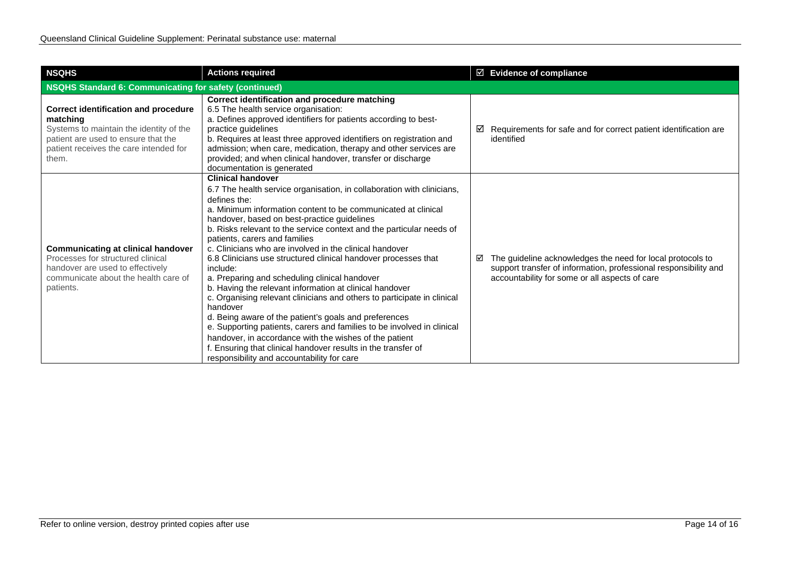| <b>NSQHS</b>                                                                                                                                                                                 | <b>Actions required</b>                                                                                                                                                                                                                                                                                                                                                                                                                                                                                                                                                                                                                                                                                                                                                                                                                                                                                                                                                                             | $\boxtimes$ Evidence of compliance                                                                                                                                                    |
|----------------------------------------------------------------------------------------------------------------------------------------------------------------------------------------------|-----------------------------------------------------------------------------------------------------------------------------------------------------------------------------------------------------------------------------------------------------------------------------------------------------------------------------------------------------------------------------------------------------------------------------------------------------------------------------------------------------------------------------------------------------------------------------------------------------------------------------------------------------------------------------------------------------------------------------------------------------------------------------------------------------------------------------------------------------------------------------------------------------------------------------------------------------------------------------------------------------|---------------------------------------------------------------------------------------------------------------------------------------------------------------------------------------|
| NSQHS Standard 6: Communicating for safety (continued)                                                                                                                                       |                                                                                                                                                                                                                                                                                                                                                                                                                                                                                                                                                                                                                                                                                                                                                                                                                                                                                                                                                                                                     |                                                                                                                                                                                       |
| <b>Correct identification and procedure</b><br>matching<br>Systems to maintain the identity of the<br>patient are used to ensure that the<br>patient receives the care intended for<br>them. | Correct identification and procedure matching<br>6.5 The health service organisation:<br>a. Defines approved identifiers for patients according to best-<br>practice quidelines<br>b. Requires at least three approved identifiers on registration and<br>admission; when care, medication, therapy and other services are<br>provided; and when clinical handover, transfer or discharge<br>documentation is generated                                                                                                                                                                                                                                                                                                                                                                                                                                                                                                                                                                             | Requirements for safe and for correct patient identification are<br>⊻<br>identified                                                                                                   |
| <b>Communicating at clinical handover</b><br>Processes for structured clinical<br>handover are used to effectively<br>communicate about the health care of<br>patients.                      | <b>Clinical handover</b><br>6.7 The health service organisation, in collaboration with clinicians,<br>defines the:<br>a. Minimum information content to be communicated at clinical<br>handover, based on best-practice guidelines<br>b. Risks relevant to the service context and the particular needs of<br>patients, carers and families<br>c. Clinicians who are involved in the clinical handover<br>6.8 Clinicians use structured clinical handover processes that<br>include:<br>a. Preparing and scheduling clinical handover<br>b. Having the relevant information at clinical handover<br>c. Organising relevant clinicians and others to participate in clinical<br>handover<br>d. Being aware of the patient's goals and preferences<br>e. Supporting patients, carers and families to be involved in clinical<br>handover, in accordance with the wishes of the patient<br>f. Ensuring that clinical handover results in the transfer of<br>responsibility and accountability for care | The guideline acknowledges the need for local protocols to<br>☑<br>support transfer of information, professional responsibility and<br>accountability for some or all aspects of care |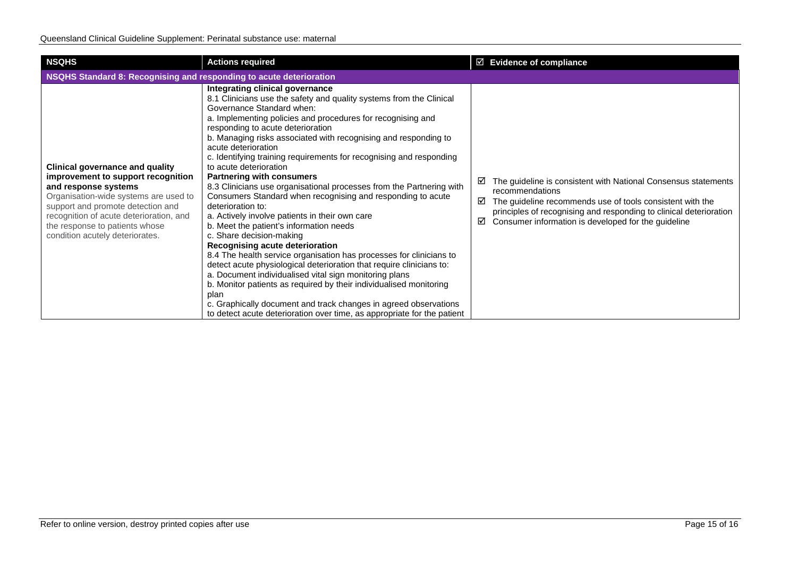| <b>NSQHS</b>                                                                                                                                                                                                                                                                                       | <b>Actions required</b>                                                                                                                                                                                                                                                                                                                                                                                                                                                                                                                                                                                                                                                                                                                                                                                                                                                                                                                                                                                                                                                                                                                                                                                                              | $\boxtimes$ Evidence of compliance                                                                                                                                                                                                                                                         |
|----------------------------------------------------------------------------------------------------------------------------------------------------------------------------------------------------------------------------------------------------------------------------------------------------|--------------------------------------------------------------------------------------------------------------------------------------------------------------------------------------------------------------------------------------------------------------------------------------------------------------------------------------------------------------------------------------------------------------------------------------------------------------------------------------------------------------------------------------------------------------------------------------------------------------------------------------------------------------------------------------------------------------------------------------------------------------------------------------------------------------------------------------------------------------------------------------------------------------------------------------------------------------------------------------------------------------------------------------------------------------------------------------------------------------------------------------------------------------------------------------------------------------------------------------|--------------------------------------------------------------------------------------------------------------------------------------------------------------------------------------------------------------------------------------------------------------------------------------------|
| NSQHS Standard 8: Recognising and responding to acute deterioration                                                                                                                                                                                                                                |                                                                                                                                                                                                                                                                                                                                                                                                                                                                                                                                                                                                                                                                                                                                                                                                                                                                                                                                                                                                                                                                                                                                                                                                                                      |                                                                                                                                                                                                                                                                                            |
| <b>Clinical governance and quality</b><br>improvement to support recognition<br>and response systems<br>Organisation-wide systems are used to<br>support and promote detection and<br>recognition of acute deterioration, and<br>the response to patients whose<br>condition acutely deteriorates. | Integrating clinical governance<br>8.1 Clinicians use the safety and quality systems from the Clinical<br>Governance Standard when:<br>a. Implementing policies and procedures for recognising and<br>responding to acute deterioration<br>b. Managing risks associated with recognising and responding to<br>acute deterioration<br>c. Identifying training requirements for recognising and responding<br>to acute deterioration<br><b>Partnering with consumers</b><br>8.3 Clinicians use organisational processes from the Partnering with<br>Consumers Standard when recognising and responding to acute<br>deterioration to:<br>a. Actively involve patients in their own care<br>b. Meet the patient's information needs<br>c. Share decision-making<br>Recognising acute deterioration<br>8.4 The health service organisation has processes for clinicians to<br>detect acute physiological deterioration that require clinicians to:<br>a. Document individualised vital sign monitoring plans<br>b. Monitor patients as required by their individualised monitoring<br>plan<br>c. Graphically document and track changes in agreed observations<br>to detect acute deterioration over time, as appropriate for the patient | The guideline is consistent with National Consensus statements<br>M<br>recommendations<br>The guideline recommends use of tools consistent with the<br>☑<br>principles of recognising and responding to clinical deterioration<br>Consumer information is developed for the guideline<br>☑ |